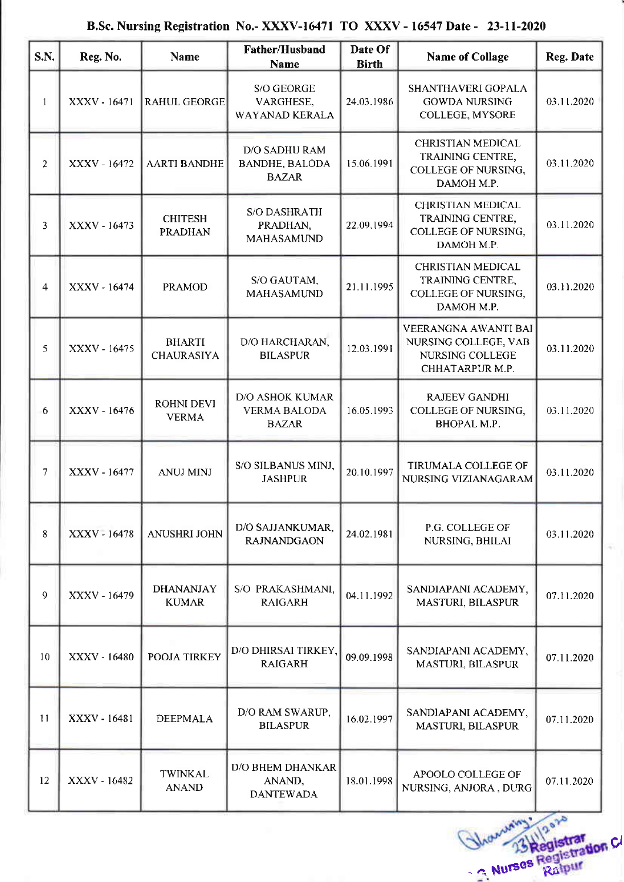## B,Sc. Nursing Registration No,- XXXV-16471 TO XXXV - 16547 Date - 23-ll-2020

| S.N.           | Reg. No.     | <b>Name</b>                        | <b>Father/Husband</b><br><b>Name</b>                          | Date Of<br><b>Birth</b> | <b>Name of Collage</b>                                                                   | Reg. Date  |
|----------------|--------------|------------------------------------|---------------------------------------------------------------|-------------------------|------------------------------------------------------------------------------------------|------------|
| 1              | XXXV - 16471 | <b>RAHUL GEORGE</b>                | S/O GEORGE<br>VARGHESE,<br>WAYANAD KERALA                     | 24.03.1986              | SHANTHAVERI GOPALA<br><b>GOWDA NURSING</b><br>COLLEGE, MYSORE                            | 03.11.2020 |
| $\overline{2}$ | XXXV - 16472 | <b>AARTI BANDHE</b>                | <b>D/O SADHU RAM</b><br><b>BANDHE, BALODA</b><br><b>BAZAR</b> | 15.06.1991              | <b>CHRISTIAN MEDICAL</b><br><b>TRAINING CENTRE,</b><br>COLLEGE OF NURSING,<br>DAMOH M.P. | 03.11.2020 |
| 3              | XXXV - 16473 | <b>CHITESH</b><br><b>PRADHAN</b>   | <b>S/O DASHRATH</b><br>PRADHAN,<br>MAHASAMUND                 | 22.09.1994              | CHRISTIAN MEDICAL<br>TRAINING CENTRE,<br>COLLEGE OF NURSING,<br>DAMOH M P                | 03.11.2020 |
| 4              | XXXV - 16474 | <b>PRAMOD</b>                      | S/O GAUTAM,<br>MAHASAMUND                                     | 21.11.1995              | <b>CHRISTIAN MEDICAL</b><br>TRAINING CENTRE,<br><b>COLLEGE OF NURSING.</b><br>DAMOH M.P. | 03.11.2020 |
| 5              | XXXV - 16475 | <b>BHARTI</b><br><b>CHAURASIYA</b> | D/O HARCHARAN,<br><b>BILASPUR</b>                             | 12.03.1991              | VEERANGNA AWANTI BAI<br>NURSING COLLEGE, VAB<br>NURSING COLLEGE<br>CHHATARPUR M.P.       | 03.11.2020 |
| 6              | XXXV - 16476 | <b>ROHNI DEVI</b><br><b>VERMA</b>  | <b>D/O ASHOK KUMAR</b><br><b>VERMA BALODA</b><br><b>BAZAR</b> | 16.05.1993              | <b>RAJEEV GANDHI</b><br>COLLEGE OF NURSING,<br>BHOPAL M.P.                               | 03.11.2020 |
| $\overline{7}$ | XXXV - 16477 | <b>ANUJ MINJ</b>                   | S/O SILBANUS MINJ,<br><b>JASHPUR</b>                          | 20.10.1997              | TIRUMALA COLLEGE OF<br><b>NURSING VIZIANAGARAM</b>                                       | 03.11.2020 |
| 8              | XXXV - 16478 | ANUSHRI JOHN                       | D/O SAJJANKUMAR,<br><b>RAJNANDGAON</b>                        | 24.02.1981              | P.G. COLLEGE OF<br>NURSING, BHILAI                                                       | 03.11.2020 |
| 9              | XXXV - 16479 | <b>DHANANJAY</b><br><b>KUMAR</b>   | S/O PRAKASHMANI,<br><b>RAIGARH</b>                            | 04.11.1992              | SANDIAPANI ACADEMY,<br>MASTURI, BILASPUR                                                 | 07.11.2020 |
| 10             | XXXV - 16480 | POOJA TIRKEY                       | D/O DHIRSAI TIRKEY,<br><b>RAIGARH</b>                         | 09.09.1998              | SANDIAPANI ACADEMY,<br>MASTURI, BILASPUR                                                 | 07.11.2020 |
| 11             | XXXV - 16481 | <b>DEEPMALA</b>                    | D/O RAM SWARUP,<br><b>BILASPUR</b>                            | 16.02.1997              | SANDIAPANI ACADEMY,<br>MASTURI, BILASPUR                                                 | 07.11.2020 |
| 12             | XXXV - 16482 | <b>TWINKAL</b><br><b>ANAND</b>     | <b>D/O BHEM DHANKAR</b><br>ANAND,<br><b>DANTEWADA</b>         | 18.01.1998              | APOOLO COLLEGE OF<br>NURSING, ANJORA, DURG                                               | 07.11.2020 |

- G Nurses Ra ol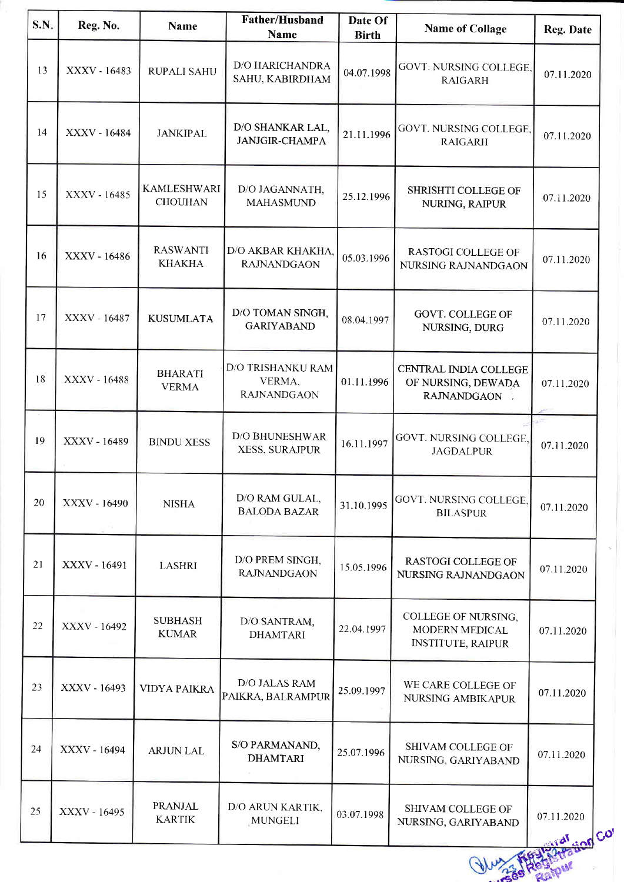| S.N. | Reg. No.     | <b>Name</b>                          | <b>Father/Husband</b><br>Name                            | Date Of<br><b>Birth</b> | <b>Name of Collage</b>                                            | Reg. Date             |
|------|--------------|--------------------------------------|----------------------------------------------------------|-------------------------|-------------------------------------------------------------------|-----------------------|
| 13   | XXXV - 16483 | <b>RUPALI SAHU</b>                   | <b>D/O HARICHANDRA</b><br>SAHU, KABIRDHAM                | 04.07.1998              | GOVT. NURSING COLLEGE,<br><b>RAIGARH</b>                          | 07.11.2020            |
| 14   | XXXV - 16484 | <b>JANKIPAL</b>                      | D/O SHANKAR LAL,<br><b>JANJGIR-CHAMPA</b>                | 21.11.1996              | GOVT. NURSING COLLEGE,<br><b>RAIGARH</b>                          | 07.11.2020            |
| 15   | XXXV - 16485 | <b>KAMLESHWARI</b><br><b>CHOUHAN</b> | D/O JAGANNATH,<br><b>MAHASMUND</b>                       | 25.12.1996              | SHRISHTI COLLEGE OF<br>NURING, RAIPUR                             | 07.11.2020            |
| 16   | XXXV - 16486 | <b>RASWANTI</b><br><b>KHAKHA</b>     | D/O AKBAR KHAKHA.<br><b>RAJNANDGAON</b>                  | 05.03.1996              | <b>RASTOGI COLLEGE OF</b><br>NURSING RAJNANDGAON                  | 07.11.2020            |
| 17   | XXXV - 16487 | <b>KUSUMLATA</b>                     | D/O TOMAN SINGH,<br><b>GARIYABAND</b>                    | 08.04.1997              | <b>GOVT. COLLEGE OF</b><br>NURSING, DURG                          | 07.11.2020            |
| 18   | XXXV - 16488 | <b>BHARATI</b><br><b>VERMA</b>       | <b>D/O TRISHANKU RAM</b><br>VERMA,<br><b>RAJNANDGAON</b> | 01.11.1996              | CENTRAL INDIA COLLEGE<br>OF NURSING, DEWADA<br>RAJNANDGAON ,      | 07.11.2020            |
| 19   | XXXV - 16489 | <b>BINDU XESS</b>                    | <b>D/O BHUNESHWAR</b><br>XESS, SURAJPUR                  | 16.11.1997              | GOVT. NURSING COLLEGE,<br><b>JAGDALPUR</b>                        | 55<br>07.11.2020      |
| 20   | XXXV - 16490 | <b>NISHA</b>                         | D/O RAM GULAL,<br><b>BALODA BAZAR</b>                    | 31.10.1995              | GOVT. NURSING COLLEGE,<br><b>BILASPUR</b>                         | 07.11.2020            |
| 21   | XXXV - 16491 | <b>LASHRI</b>                        | D/O PREM SINGH,<br><b>RAJNANDGAON</b>                    | 15.05.1996              | <b>RASTOGI COLLEGE OF</b><br>NURSING RAJNANDGAON                  | 07.11.2020            |
| 22   | XXXV - 16492 | <b>SUBHASH</b><br><b>KUMAR</b>       | D/O SANTRAM,<br><b>DHAMTARI</b>                          | 22.04.1997              | COLLEGE OF NURSING,<br>MODERN MEDICAL<br><b>INSTITUTE, RAIPUR</b> | 07.11.2020            |
| 23   | XXXV - 16493 | <b>VIDYA PAIKRA</b>                  | D/O JALAS RAM<br>PAIKRA, BALRAMPUR                       | 25.09.1997              | WE CARE COLLEGE OF<br><b>NURSING AMBIKAPUR</b>                    | 07.11.2020            |
| 24   | XXXV - 16494 | <b>ARJUN LAL</b>                     | S/O PARMANAND,<br><b>DHAMTARI</b>                        | 25.07.1996              | SHIVAM COLLEGE OF<br>NURSING, GARIYABAND                          | 07.11.2020            |
| 25   | XXXV - 16495 | <b>PRANJAL</b><br><b>KARTIK</b>      | D/O ARUN KARTIK,<br>MUNGELI                              | 03.07.1998              | SHIVAM COLLEGE OF<br>NURSING, GARIYABAND                          | 07.11.2020<br>ion Co' |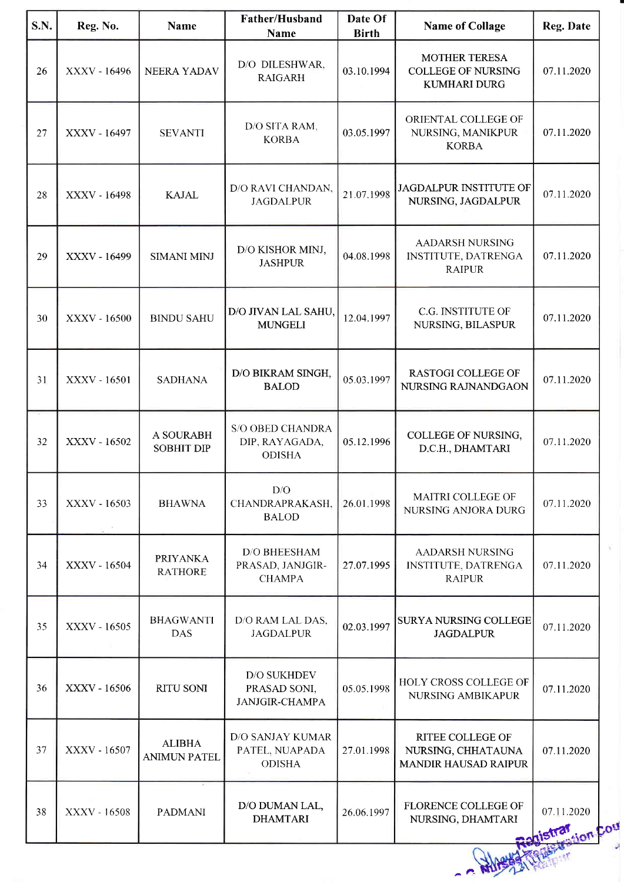| 26<br>27 | XXXV - 16496 | <b>NEERA YADAV</b>                   | <b>Name</b><br>D/O DILESHWAR,                               | <b>Birth</b> |                                                                              |                                   |
|----------|--------------|--------------------------------------|-------------------------------------------------------------|--------------|------------------------------------------------------------------------------|-----------------------------------|
|          |              |                                      | <b>RAIGARH</b>                                              | 03.10.1994   | <b>MOTHER TERESA</b><br><b>COLLEGE OF NURSING</b><br><b>KUMHARI DURG</b>     | 07.11.2020                        |
|          | XXXV - 16497 | <b>SEVANTI</b>                       | D/O SITA RAM,<br><b>KORBA</b>                               | 03.05.1997   | ORIENTAL COLLEGE OF<br>NURSING, MANIKPUR<br><b>KORBA</b>                     | 07.11.2020                        |
| 28       | XXXV - 16498 | <b>KAJAL</b>                         | D/O RAVI CHANDAN,<br><b>JAGDALPUR</b>                       | 21.07.1998   | JAGDALPUR INSTITUTE OF<br>NURSING, JAGDALPUR                                 | 07.11.2020                        |
| 29       | XXXV - 16499 | <b>SIMANI MINJ</b>                   | D/O KISHOR MINJ,<br><b>JASHPUR</b>                          | 04.08.1998   | <b>AADARSH NURSING</b><br>INSTITUTE, DATRENGA<br><b>RAIPUR</b>               | 07.11.2020                        |
| 30       | XXXV - 16500 | <b>BINDU SAHU</b>                    | D/O JIVAN LAL SAHU,<br><b>MUNGELI</b>                       | 12.04.1997   | C.G. INSTITUTE OF<br>NURSING, BILASPUR                                       | 07.11.2020                        |
| 31       | XXXV - 16501 | <b>SADHANA</b>                       | D/O BIKRAM SINGH,<br><b>BALOD</b>                           | 05.03.1997   | <b>RASTOGI COLLEGE OF</b><br>NURSING RAJNANDGAON                             | 07.11.2020                        |
| 32       | XXXV - 16502 | A SOURABH<br><b>SOBHIT DIP</b>       | <b>S/O OBED CHANDRA</b><br>DIP, RAYAGADA,<br><b>ODISHA</b>  | 05.12.1996   | COLLEGE OF NURSING,<br>D.C.H., DHAMTARI                                      | 07.11.2020                        |
| 33       | XXXV - 16503 | <b>BHAWNA</b>                        | D/O<br>CHANDRAPRAKASH,<br><b>BALOD</b>                      | 26.01.1998   | MAITRI COLLEGE OF<br>NURSING ANJORA DURG                                     | 07.11.2020                        |
| 34       | XXXV - 16504 | <b>PRIYANKA</b><br><b>RATHORE</b>    | <b>D/O BHEESHAM</b><br>PRASAD, JANJGIR-<br><b>CHAMPA</b>    | 27.07.1995   | <b>AADARSH NURSING</b><br>INSTITUTE, DATRENGA<br><b>RAIPUR</b>               | 07.11.2020                        |
| 35       | XXXV - 16505 | <b>BHAGWANTI</b><br><b>DAS</b>       | D/O RAM LAL DAS,<br><b>JAGDALPUR</b>                        | 02.03.1997   | <b>SURYA NURSING COLLEGE</b><br><b>JAGDALPUR</b>                             | 07.11.2020                        |
| 36       | XXXV - 16506 | <b>RITU SONI</b>                     | <b>D/O SUKHDEV</b><br>PRASAD SONI,<br><b>JANJGIR-CHAMPA</b> | 05.05.1998   | HOLY CROSS COLLEGE OF<br>NURSING AMBIKAPUR                                   | 07.11.2020                        |
| 37       | XXXV - 16507 | <b>ALIBHA</b><br><b>ANIMUN PATEL</b> | <b>D/O SANJAY KUMAR</b><br>PATEL, NUAPADA<br><b>ODISHA</b>  | 27.01.1998   | <b>RITEE COLLEGE OF</b><br>NURSING, CHHATAUNA<br><b>MANDIR HAUSAD RAIPUR</b> | 07.11.2020                        |
| 38       | XXXV - 16508 | <b>PADMANI</b>                       | D/O DUMAN LAL,<br><b>DHAMTARI</b>                           | 26.06.1997   | <b>FLORENCE COLLEGE OF</b><br>NURSING, DHAMTARI                              | 07.11.2020<br>sion Cou<br>distrar |

a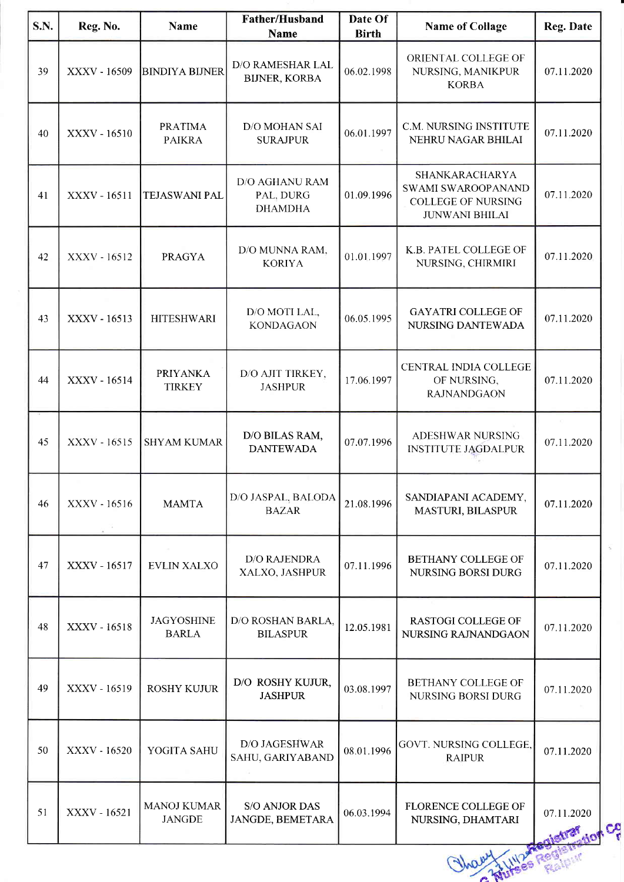| <b>S.N.</b> | Reg. No.     | <b>Name</b>                         | <b>Father/Husband</b><br><b>Name</b>                 | Date Of<br><b>Birth</b> | <b>Name of Collage</b>                                                                     | Reg. Date        |
|-------------|--------------|-------------------------------------|------------------------------------------------------|-------------------------|--------------------------------------------------------------------------------------------|------------------|
| 39          | XXXV - 16509 | <b>BINDIYA BIJNER</b>               | D/O RAMESHAR LAL<br><b>BIJNER, KORBA</b>             | 06.02.1998              | ORIENTAL COLLEGE OF<br>NURSING, MANIKPUR<br><b>KORBA</b>                                   | 07.11.2020       |
| 40          | XXXV - 16510 | <b>PRATIMA</b><br><b>PAIKRA</b>     | D/O MOHAN SAI<br><b>SURAJPUR</b>                     | 06.01.1997              | C.M. NURSING INSTITUTE<br>NEHRU NAGAR BHILAI                                               | 07.11.2020       |
| 41          | XXXV - 16511 | <b>TEJASWANI PAL</b>                | <b>D/O AGHANU RAM</b><br>PAL, DURG<br><b>DHAMDHA</b> | 01.09.1996              | SHANKARACHARYA<br>SWAMI SWAROOPANAND<br><b>COLLEGE OF NURSING</b><br><b>JUNWANI BHILAI</b> | 07.11.2020       |
| 42          | XXXV - 16512 | <b>PRAGYA</b>                       | D/O MUNNA RAM,<br><b>KORIYA</b>                      | 01.01.1997              | K.B. PATEL COLLEGE OF<br>NURSING, CHIRMIRI                                                 | 07.11.2020       |
| 43          | XXXV - 16513 | <b>HITESHWARI</b>                   | D/O MOTI LAL,<br><b>KONDAGAON</b>                    | 06.05.1995              | <b>GAYATRI COLLEGE OF</b><br>NURSING DANTEWADA                                             | 07.11.2020       |
| 44          | XXXV - 16514 | <b>PRIYANKA</b><br><b>TIRKEY</b>    | D/O AJIT TIRKEY,<br><b>JASHPUR</b>                   | 17.06.1997              | CENTRAL INDIA COLLEGE<br>OF NURSING,<br><b>RAJNANDGAON</b>                                 | 07.11.2020       |
| 45          | XXXV - 16515 | <b>SHYAM KUMAR</b>                  | D/O BILAS RAM,<br><b>DANTEWADA</b>                   | 07.07.1996              | ADESHWAR NURSING<br><b>INSTITUTE JAGDALPUR</b>                                             | 07.11.2020       |
| 46          | XXXV - 16516 | <b>MAMTA</b>                        | D/O JASPAL, BALODA<br><b>BAZAR</b>                   | 21.08.1996              | SANDIAPANI ACADEMY,<br>MASTURI, BILASPUR                                                   | 07.11.2020       |
| 47          | XXXV - 16517 | <b>EVLIN XALXO</b>                  | <b>D/O RAJENDRA</b><br>XALXO, JASHPUR                | 07.11.1996              | <b>BETHANY COLLEGE OF</b><br><b>NURSING BORSI DURG</b>                                     | 07.11.2020       |
| 48          | XXXV - 16518 | <b>JAGYOSHINE</b><br><b>BARLA</b>   | D/O ROSHAN BARLA,<br><b>BILASPUR</b>                 | 12.05.1981              | <b>RASTOGI COLLEGE OF</b><br>NURSING RAJNANDGAON                                           | 07.11.2020       |
| 49          | XXXV - 16519 | <b>ROSHY KUJUR</b>                  | D/O ROSHY KUJUR,<br><b>JASHPUR</b>                   | 03.08.1997              | BETHANY COLLEGE OF<br>NURSING BORSI DURG                                                   | 07.11.2020       |
| 50          | XXXV - 16520 | YOGITA SAHU                         | D/O JAGESHWAR<br>SAHU, GARIYABAND                    | 08.01.1996              | GOVT. NURSING COLLEGE,<br><b>RAIPUR</b>                                                    | 07.11.2020       |
| 51          | XXXV - 16521 | <b>MANOJ KUMAR</b><br><b>JANGDE</b> | <b>S/O ANJOR DAS</b><br>JANGDE, BEMETARA             | 06.03.1994              | <b>FLORENCE COLLEGE OF</b><br>NURSING, DHAMTARI                                            | 07.11.2020<br>Co |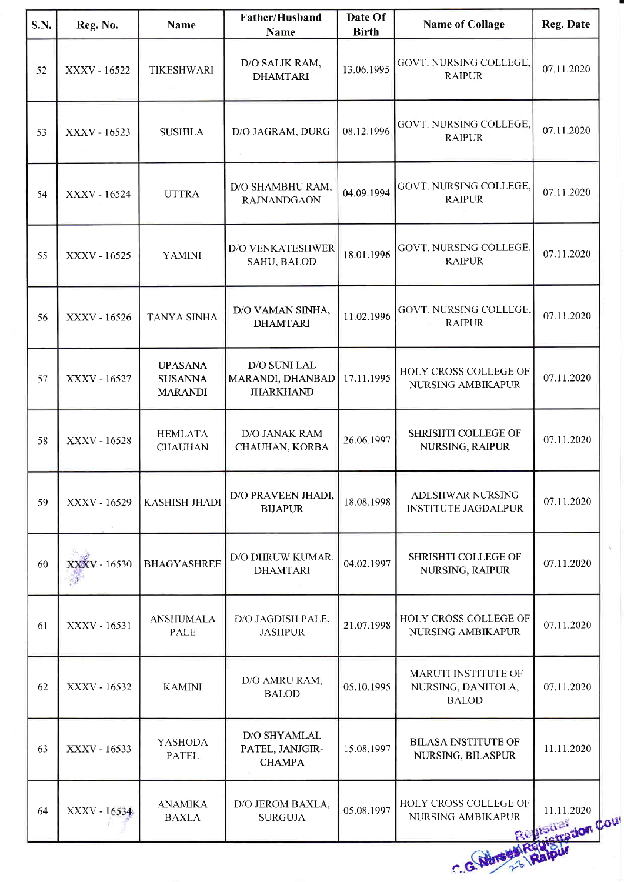| S.N. | Reg. No.     | <b>Name</b>                                        | Father/Husband<br>Name                               | Date Of<br><b>Birth</b> | <b>Name of Collage</b>                                           | Reg. Date                                    |
|------|--------------|----------------------------------------------------|------------------------------------------------------|-------------------------|------------------------------------------------------------------|----------------------------------------------|
| 52   | XXXV - 16522 | <b>TIKESHWARI</b>                                  | D/O SALIK RAM,<br><b>DHAMTARI</b>                    | 13.06.1995              | GOVT. NURSING COLLEGE,<br><b>RAIPUR</b>                          | 07.11.2020                                   |
| 53   | XXXV - 16523 | <b>SUSHILA</b>                                     | D/O JAGRAM, DURG                                     | 08.12.1996              | <b>GOVT. NURSING COLLEGE.</b><br><b>RAIPUR</b>                   | 07.11.2020                                   |
| 54   | XXXV - 16524 | <b>UTTRA</b>                                       | D/O SHAMBHU RAM,<br><b>RAJNANDGAON</b>               | 04.09.1994              | GOVT. NURSING COLLEGE,<br><b>RAIPUR</b>                          | 07.11.2020                                   |
| 55   | XXXV - 16525 | <b>YAMINI</b>                                      | <b>D/O VENKATESHWER</b><br>SAHU, BALOD               | 18.01.1996              | GOVT. NURSING COLLEGE,<br><b>RAIPUR</b>                          | 07.11.2020                                   |
| 56   | XXXV - 16526 | <b>TANYA SINHA</b>                                 | D/O VAMAN SINHA,<br><b>DHAMTARI</b>                  | 11.02.1996              | GOVT. NURSING COLLEGE,<br><b>RAIPUR</b>                          | 07.11.2020                                   |
| 57   | XXXV - 16527 | <b>UPASANA</b><br><b>SUSANNA</b><br><b>MARANDI</b> | D/O SUNI LAL<br>MARANDI, DHANBAD<br><b>JHARKHAND</b> | 17.11.1995              | HOLY CROSS COLLEGE OF<br>NURSING AMBIKAPUR                       | 07.11.2020                                   |
| 58   | XXXV - 16528 | <b>HEMLATA</b><br><b>CHAUHAN</b>                   | D/O JANAK RAM<br>CHAUHAN, KORBA                      | 26.06.1997              | SHRISHTI COLLEGE OF<br>NURSING, RAIPUR                           | 07.11.2020                                   |
| 59   | XXXV - 16529 | <b>KASHISH JHADI</b>                               | D/O PRAVEEN JHADI,<br><b>BIJAPUR</b>                 | 18.08.1998              | ADESHWAR NURSING<br><b>INSTITUTE JAGDALPUR</b>                   | 07.11.2020                                   |
| 60   | XXXV - 16530 | <b>BHAGYASHREE</b>                                 | D/O DHRUW KUMAR,<br><b>DHAMTARI</b>                  | 04.02.1997              | SHRISHTI COLLEGE OF<br>NURSING, RAIPUR                           | 07.11.2020                                   |
| 61   | XXXV - 16531 | <b>ANSHUMALA</b><br><b>PALE</b>                    | D/O JAGDISH PALE,<br><b>JASHPUR</b>                  | 21.07.1998              | HOLY CROSS COLLEGE OF<br>NURSING AMBIKAPUR                       | 07.11.2020                                   |
| 62   | XXXV - 16532 | <b>KAMINI</b>                                      | D/O AMRU RAM,<br><b>BALOD</b>                        | 05.10.1995              | <b>MARUTI INSTITUTE OF</b><br>NURSING, DANITOLA,<br><b>BALOD</b> | 07.11.2020                                   |
| 63   | XXXV - 16533 | <b>YASHODA</b><br><b>PATEL</b>                     | D/O SHYAMLAL<br>PATEL, JANJGIR-<br><b>CHAMPA</b>     | 15.08.1997              | <b>BILASA INSTITUTE OF</b><br>NURSING, BILASPUR                  | 11.11.2020                                   |
| 64   | XXXV - 16534 | <b>ANAMIKA</b><br><b>BAXLA</b>                     | D/O JEROM BAXLA,<br><b>SURGUJA</b>                   | 05.08.1997              | HOLY CROSS COLLEGE OF<br>NURSING AMBIKAPUR                       | $11.11.2020\,$<br><b>Pretting four Court</b> |
|      |              |                                                    |                                                      |                         | C.G. Adresser                                                    |                                              |
|      |              |                                                    |                                                      |                         |                                                                  |                                              |

r